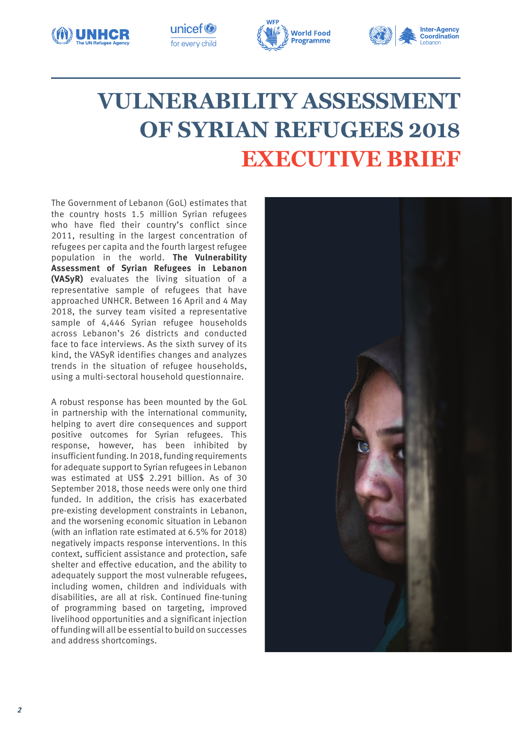







# **VULNERABILITY ASSESSMENT OF SYRIAN REFUGEES 2018 EXECUTIVE BRIEF**

The Government of Lebanon (GoL) estimates that the country hosts 1.5 million Syrian refugees who have fled their country's conflict since 2011, resulting in the largest concentration of refugees per capita and the fourth largest refugee population in the world. **The Vulnerability Assessment of Syrian Refugees in Lebanon (VASyR)** evaluates the living situation of a representative sample of refugees that have approached UNHCR. Between 16 April and 4 May 2018, the survey team visited a representative sample of 4,446 Syrian refugee households across Lebanon's 26 districts and conducted face to face interviews. As the sixth survey of its kind, the VASyR identifies changes and analyzes trends in the situation of refugee households, using a multi-sectoral household questionnaire.

A robust response has been mounted by the GoL in partnership with the international community, helping to avert dire consequences and support positive outcomes for Syrian refugees. This response, however, has been inhibited by insufficient funding. In 2018, funding requirements for adequate support to Syrian refugees in Lebanon was estimated at US\$ 2.291 billion. As of 30 September 2018, those needs were only one third funded. In addition, the crisis has exacerbated pre-existing development constraints in Lebanon, and the worsening economic situation in Lebanon (with an inflation rate estimated at 6.5% for 2018) negatively impacts response interventions. In this context, sufficient assistance and protection, safe shelter and effective education, and the ability to adequately support the most vulnerable refugees, including women, children and individuals with disabilities, are all at risk. Continued fine-tuning of programming based on targeting, improved livelihood opportunities and a significant injection of funding will all be essential to build on successes and address shortcomings.

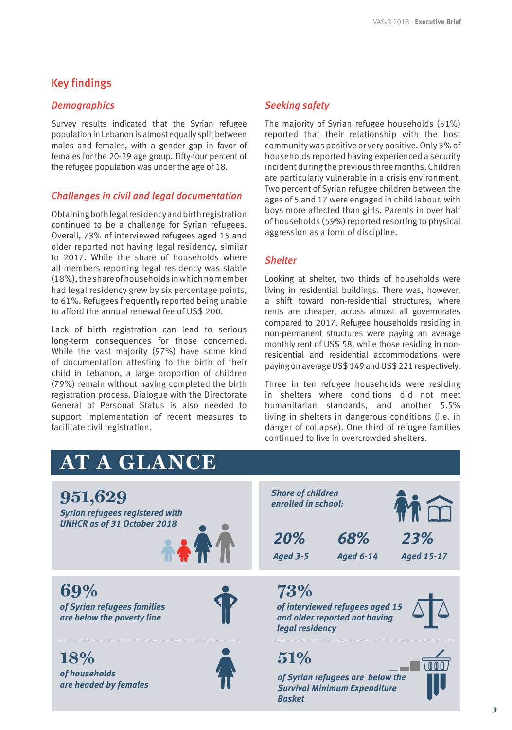# Key findings

# *Demographics*

Survey results indicated that the Syrian refugee population in Lebanon is almost equally split between males and females, with a gender gap in favor of females for the 20-29 age group. Fifty-four percent of the refugee population was under the age of 18.

# *Challenges in civil and legal documentation*

Obtaining both legal residency and birth registration continued to be a challenge for Syrian refugees. Overall, 73% of interviewed refugees aged 15 and older reported not having legal residency, similar to 2017. While the share of households where all members reporting legal residency was stable (18%), the share of households in which no member had legal residency grew by six percentage points, to 61%. Refugees frequently reported being unable to afford the annual renewal fee of US\$ 200.

Lack of birth registration can lead to serious long-term consequences for those concerned. While the vast majority (97%) have some kind of documentation attesting to the birth of their child in Lebanon, a large proportion of children (79%) remain without having completed the birth registration process. Dialogue with the Directorate General of Personal Status is also needed to support implementation of recent measures to facilitate civil registration.

# *Seeking safety*

The majority of Syrian refugee households (51%) reported that their relationship with the host community was positive or very positive. Only 3% of households reported having experienced a security incident during the previous three months. Children are particularly vulnerable in a crisis environment. Two percent of Syrian refugee children between the ages of 5 and 17 were engaged in child labour, with boys more affected than girls. Parents in over half of households (59%) reported resorting to physical aggression as a form of discipline.

# *Shelter*

Looking at shelter, two thirds of households were living in residential buildings. There was, however, a shift toward non-residential structures, where rents are cheaper, across almost all governorates compared to 2017. Refugee households residing in non-permanent structures were paying an average monthly rent of US\$ 58, while those residing in nonresidential and residential accommodations were paying on average US\$ 149 and US\$ 221 respectively.

Three in ten refugee households were residing in shelters where conditions did not meet humanitarian standards, and another 5.5% living in shelters in dangerous conditions (i.e. in danger of collapse). One third of refugee families continued to live in overcrowded shelters.

#### **AT A GLANCE** *20% Aged 3-5 68% Aged 6-14 23% Aged 15-17* **18%** *of households are headed by females* **951,629**  *Syrian refugees registered with UNHCR as of 31 October 2018* **69%**  *of Syrian refugees families are below the poverty line*  **73%**  *of interviewed refugees aged 15 and older reported not having legal residency*  **51%**  *of Syrian refugees are below the Survival Minimum Expenditure Basket Share of children enrolled in school:*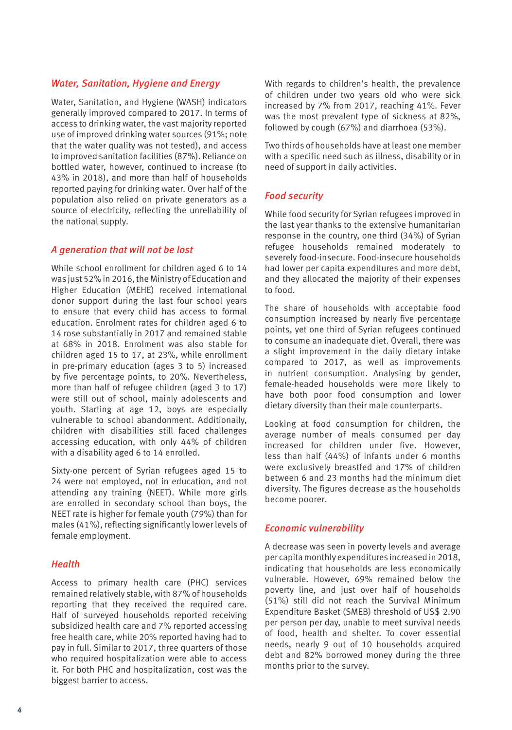## *Water, Sanitation, Hygiene and Energy*

Water, Sanitation, and Hygiene (WASH) indicators generally improved compared to 2017. In terms of access to drinking water, the vast majority reported use of improved drinking water sources (91%; note that the water quality was not tested), and access to improved sanitation facilities (87%). Reliance on bottled water, however, continued to increase (to 43% in 2018), and more than half of households reported paying for drinking water. Over half of the population also relied on private generators as a source of electricity, reflecting the unreliability of the national supply.

# *A generation that will not be lost*

While school enrollment for children aged 6 to 14 was just 52% in 2016, the Ministry of Education and Higher Education (MEHE) received international donor support during the last four school years to ensure that every child has access to formal education. Enrolment rates for children aged 6 to 14 rose substantially in 2017 and remained stable at 68% in 2018. Enrolment was also stable for children aged 15 to 17, at 23%, while enrollment in pre-primary education (ages 3 to 5) increased by five percentage points, to 20%. Nevertheless, more than half of refugee children (aged 3 to 17) were still out of school, mainly adolescents and youth. Starting at age 12, boys are especially vulnerable to school abandonment. Additionally, children with disabilities still faced challenges accessing education, with only 44% of children with a disability aged 6 to 14 enrolled.

Sixty-one percent of Syrian refugees aged 15 to 24 were not employed, not in education, and not attending any training (NEET). While more girls are enrolled in secondary school than boys, the NEET rate is higher for female youth (79%) than for males (41%), reflecting significantly lower levels of female employment.

## *Health*

Access to primary health care (PHC) services remained relatively stable, with 87% of households reporting that they received the required care. Half of surveyed households reported receiving subsidized health care and 7% reported accessing free health care, while 20% reported having had to pay in full. Similar to 2017, three quarters of those who required hospitalization were able to access it. For both PHC and hospitalization, cost was the biggest barrier to access.

With regards to children's health, the prevalence of children under two years old who were sick increased by 7% from 2017, reaching 41%. Fever was the most prevalent type of sickness at 82%, followed by cough (67%) and diarrhoea (53%).

Two thirds of households have at least one member with a specific need such as illness, disability or in need of support in daily activities.

# *Food security*

While food security for Syrian refugees improved in the last year thanks to the extensive humanitarian response in the country, one third (34%) of Syrian refugee households remained moderately to severely food-insecure. Food-insecure households had lower per capita expenditures and more debt, and they allocated the majority of their expenses to food.

The share of households with acceptable food consumption increased by nearly five percentage points, yet one third of Syrian refugees continued to consume an inadequate diet. Overall, there was a slight improvement in the daily dietary intake compared to 2017, as well as improvements in nutrient consumption. Analysing by gender, female-headed households were more likely to have both poor food consumption and lower dietary diversity than their male counterparts.

Looking at food consumption for children, the average number of meals consumed per day increased for children under five. However, less than half (44%) of infants under 6 months were exclusively breastfed and 17% of children between 6 and 23 months had the minimum diet diversity. The figures decrease as the households become poorer.

# *Economic vulnerability*

A decrease was seen in poverty levels and average per capita monthly expenditures increased in 2018, indicating that households are less economically vulnerable. However, 69% remained below the poverty line, and just over half of households (51%) still did not reach the Survival Minimum Expenditure Basket (SMEB) threshold of US\$ 2.90 per person per day, unable to meet survival needs of food, health and shelter. To cover essential needs, nearly 9 out of 10 households acquired debt and 82% borrowed money during the three months prior to the survey.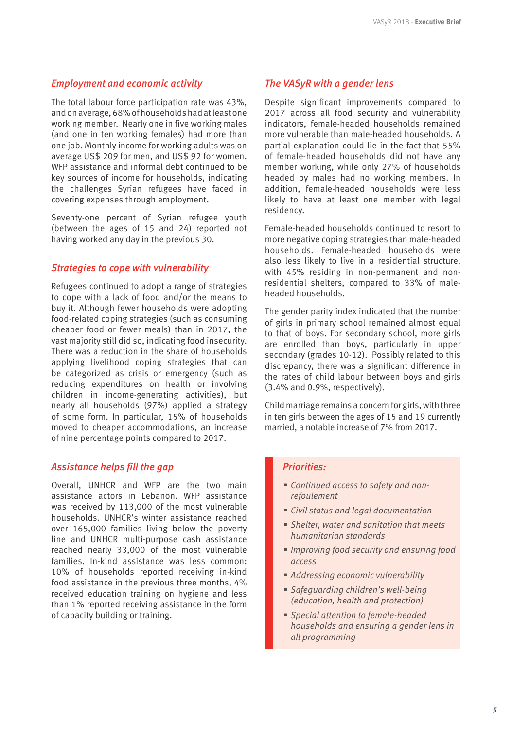## *Employment and economic activity*

The total labour force participation rate was 43%, and on average, 68% of households had at least one working member. Nearly one in five working males (and one in ten working females) had more than one job. Monthly income for working adults was on average US\$ 209 for men, and US\$ 92 for women. WFP assistance and informal debt continued to be key sources of income for households, indicating the challenges Syrian refugees have faced in covering expenses through employment.

Seventy-one percent of Syrian refugee youth (between the ages of 15 and 24) reported not having worked any day in the previous 30.

### *Strategies to cope with vulnerability*

Refugees continued to adopt a range of strategies to cope with a lack of food and/or the means to buy it. Although fewer households were adopting food-related coping strategies (such as consuming cheaper food or fewer meals) than in 2017, the vast majority still did so, indicating food insecurity. There was a reduction in the share of households applying livelihood coping strategies that can be categorized as crisis or emergency (such as reducing expenditures on health or involving children in income-generating activities), but nearly all households (97%) applied a strategy of some form. In particular, 15% of households moved to cheaper accommodations, an increase of nine percentage points compared to 2017.

#### *Assistance helps fill the gap*

Overall, UNHCR and WFP are the two main assistance actors in Lebanon. WFP assistance was received by 113,000 of the most vulnerable households. UNHCR's winter assistance reached over 165,000 families living below the poverty line and UNHCR multi-purpose cash assistance reached nearly 33,000 of the most vulnerable families. In-kind assistance was less common: 10% of households reported receiving in-kind food assistance in the previous three months, 4% received education training on hygiene and less than 1% reported receiving assistance in the form of capacity building or training.

#### *The VASyR with a gender lens*

Despite significant improvements compared to 2017 across all food security and vulnerability indicators, female-headed households remained more vulnerable than male-headed households. A partial explanation could lie in the fact that 55% of female-headed households did not have any member working, while only 27% of households headed by males had no working members. In addition, female-headed households were less likely to have at least one member with legal residency.

Female-headed households continued to resort to more negative coping strategies than male-headed households. Female-headed households were also less likely to live in a residential structure, with 45% residing in non-permanent and nonresidential shelters, compared to 33% of maleheaded households.

The gender parity index indicated that the number of girls in primary school remained almost equal to that of boys. For secondary school, more girls are enrolled than boys, particularly in upper secondary (grades 10-12). Possibly related to this discrepancy, there was a significant difference in the rates of child labour between boys and girls (3.4% and 0.9%, respectively).

Child marriage remains a concern for girls, with three in ten girls between the ages of 15 and 19 currently married, a notable increase of 7% from 2017.

#### *Priorities:*

- *Continued access to safety and nonrefoulement*
- *Civil status and legal documentation*
- *Shelter, water and sanitation that meets humanitarian standards*
- *Improving food security and ensuring food access*
- *Addressing economic vulnerability*
- *Safeguarding children's well-being (education, health and protection)*
- *Special attention to female-headed households and ensuring a gender lens in all programming*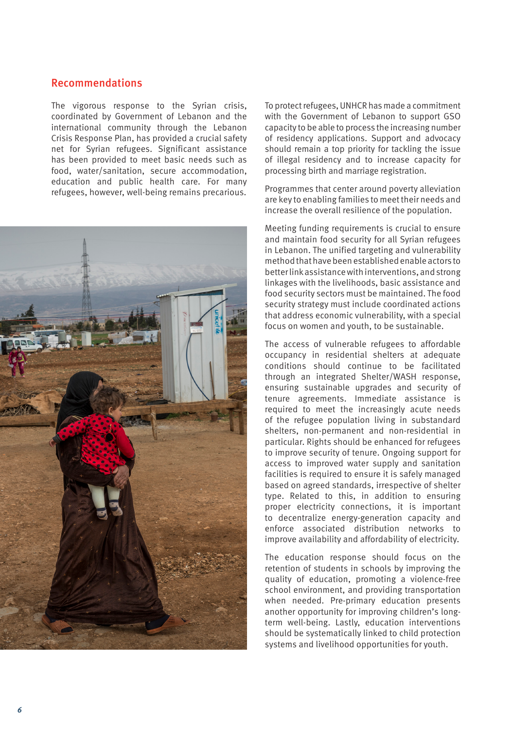# Recommendations

The vigorous response to the Syrian crisis, coordinated by Government of Lebanon and the international community through the Lebanon Crisis Response Plan, has provided a crucial safety net for Syrian refugees. Significant assistance has been provided to meet basic needs such as food, water/sanitation, secure accommodation, education and public health care. For many refugees, however, well-being remains precarious.



To protect refugees, UNHCR has made a commitment with the Government of Lebanon to support GSO capacity to be able to process the increasing number of residency applications. Support and advocacy should remain a top priority for tackling the issue of illegal residency and to increase capacity for processing birth and marriage registration.

Programmes that center around poverty alleviation are key to enabling families to meet their needs and increase the overall resilience of the population.

Meeting funding requirements is crucial to ensure and maintain food security for all Syrian refugees in Lebanon. The unified targeting and vulnerability method that have been established enable actors to better link assistance with interventions, and strong linkages with the livelihoods, basic assistance and food security sectors must be maintained. The food security strategy must include coordinated actions that address economic vulnerability, with a special focus on women and youth, to be sustainable.

The access of vulnerable refugees to affordable occupancy in residential shelters at adequate conditions should continue to be facilitated through an integrated Shelter/WASH response, ensuring sustainable upgrades and security of tenure agreements. Immediate assistance is required to meet the increasingly acute needs of the refugee population living in substandard shelters, non-permanent and non-residential in particular. Rights should be enhanced for refugees to improve security of tenure. Ongoing support for access to improved water supply and sanitation facilities is required to ensure it is safely managed based on agreed standards, irrespective of shelter type. Related to this, in addition to ensuring proper electricity connections, it is important to decentralize energy-generation capacity and enforce associated distribution networks to improve availability and affordability of electricity.

The education response should focus on the retention of students in schools by improving the quality of education, promoting a violence-free school environment, and providing transportation when needed. Pre-primary education presents another opportunity for improving children's longterm well-being. Lastly, education interventions should be systematically linked to child protection systems and livelihood opportunities for youth.